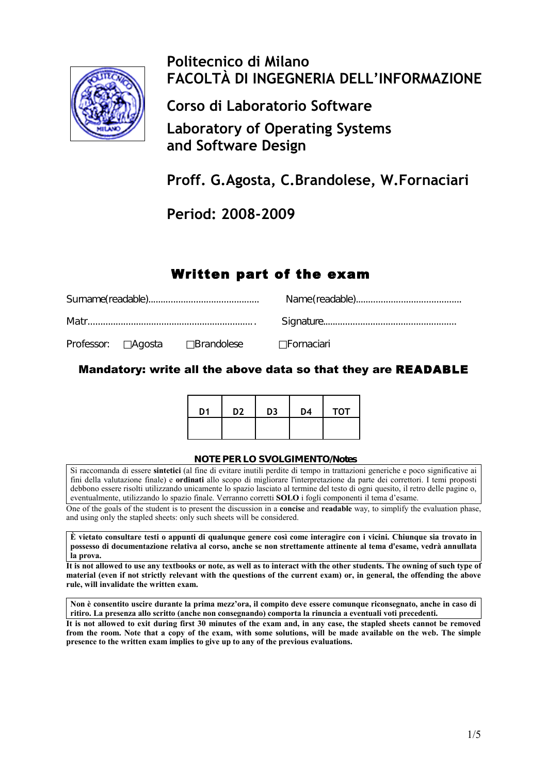

# **Politecnico di Milano FACOLTÀ DI INGEGNERIA DELL'INFORMAZIONE**

**Corso di Laboratorio Software**

**Laboratory of Operating Systems and Software Design**

**Proff. G.Agosta, C.Brandolese, W.Fornaciari**

**Period: 2008-2009**

## Written part of the exam

|  | Professor: □ Agosta □ Brandolese □ □ Fornaciari |  |  |
|--|-------------------------------------------------|--|--|

Mandatory: write all the above data so that they are READABLE

| D <sub>1</sub> | D <sub>2</sub> | D <sub>3</sub> | D4 | <b>TOT</b> |
|----------------|----------------|----------------|----|------------|
|                |                |                |    |            |

#### **NOTE PER LO SVOLGIMENTO/Notes**

Si raccomanda di essere **sintetici** (al fine di evitare inutili perdite di tempo in trattazioni generiche e poco significative ai fini della valutazione finale) e **ordinati** allo scopo di migliorare l'interpretazione da parte dei correttori. I temi proposti debbono essere risolti utilizzando unicamente lo spazio lasciato al termine del testo di ogni quesito, il retro delle pagine o, eventualmente, utilizzando lo spazio finale. Verranno corretti **SOLO** i fogli componenti il tema d'esame.

One of the goals of the student is to present the discussion in a **concise** and **readable** way, to simplify the evaluation phase, and using only the stapled sheets: only such sheets will be considered.

**È vietato consultare testi o appunti di qualunque genere così come interagire con i vicini. Chiunque sia trovato in possesso di documentazione relativa al corso, anche se non strettamente attinente al tema d'esame, vedrà annullata la prova.**

**It is not allowed to use any textbooks or note, as well as to interact with the other students. The owning of such type of material (even if not strictly relevant with the questions of the current exam) or, in general, the offending the above rule, will invalidate the written exam.**

**Non è consentito uscire durante la prima mezz'ora, il compito deve essere comunque riconsegnato, anche in caso di ritiro. La presenza allo scritto (anche non consegnando) comporta la rinuncia a eventuali voti precedenti.**

**It is not allowed to exit during first 30 minutes of the exam and, in any case, the stapled sheets cannot be removed from the room. Note that a copy of the exam, with some solutions, will be made available on the web. The simple presence to the written exam implies to give up to any of the previous evaluations.**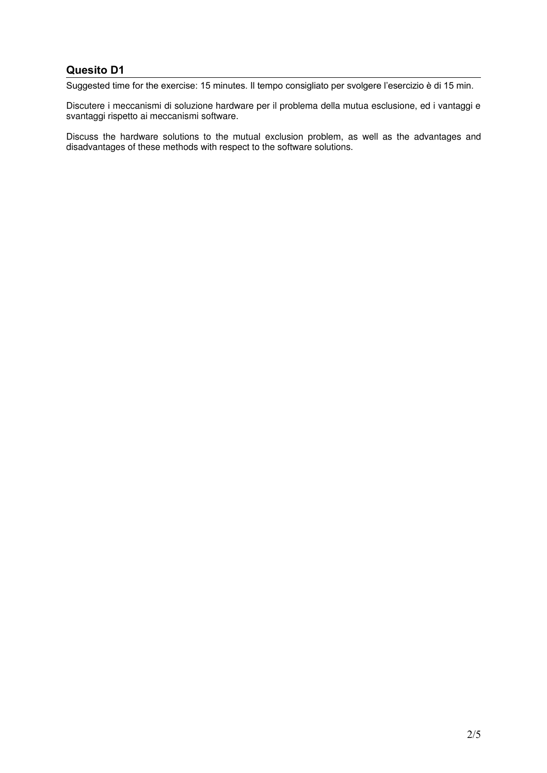Suggested time for the exercise: 15 minutes. Il tempo consigliato per svolgere l'esercizio è di 15 min.

Discutere i meccanismi di soluzione hardware per il problema della mutua esclusione, ed i vantaggi e svantaggi rispetto ai meccanismi software.

Discuss the hardware solutions to the mutual exclusion problem, as well as the advantages and disadvantages of these methods with respect to the software solutions.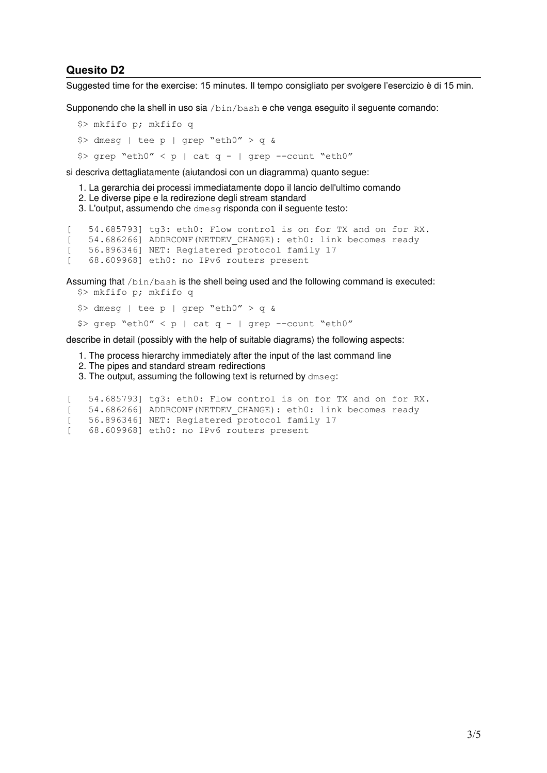Suggested time for the exercise: 15 minutes. Il tempo consigliato per svolgere l'esercizio è di 15 min.

Supponendo che la shell in uso sia /bin/bash e che venga eseguito il seguente comando:

```
 $> mkfifo p; mkfifo q
$> dmesg | tee p | grep "eth0" > q &
$> grep "eth0" < p | cat q - | grep --count "eth0"
```
si descriva dettagliatamente (aiutandosi con un diagramma) quanto segue:

- 1. La gerarchia dei processi immediatamente dopo il lancio dell'ultimo comando
- 2. Le diverse pipe e la redirezione degli stream standard
- 3. L'output, assumendo che dmesg risponda con il seguente testo:

```
[ 54.685793] tg3: eth0: Flow control is on for TX and on for RX.
[ 54.686266] ADDRCONF(NETDEV_CHANGE): eth0: link becomes ready
[ 56.896346] NET: Registered protocol family 17
[ 68.609968] eth0: no IPv6 routers present
```
Assuming that /bin/bash is the shell being used and the following command is executed: \$> mkfifo p; mkfifo q

```
$> dmesq | tee p | grep "eth0" > q &
$> grep "eth0" < p | cat q - | grep --count "eth0"
```
describe in detail (possibly with the help of suitable diagrams) the following aspects:

- 1. The process hierarchy immediately after the input of the last command line
- 2. The pipes and standard stream redirections

3. The output, assuming the following text is returned by dmseg:

```
[ 54.685793] tg3: eth0: Flow control is on for TX and on for RX.
[ 54.686266] ADDRCONF(NETDEV_CHANGE): eth0: link becomes ready
[ 56.896346] NET: Registered protocol family 17
[ 68.609968] eth0: no IPv6 routers present
```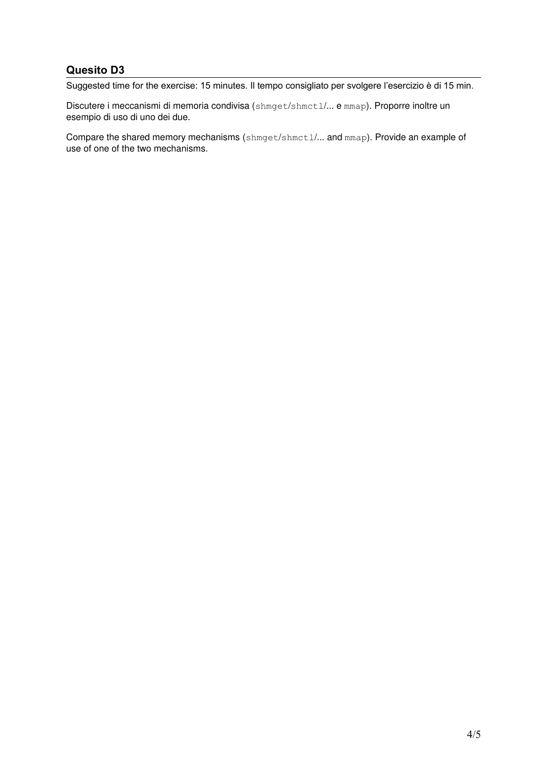Suggested time for the exercise: 15 minutes. Il tempo consigliato per svolgere l'esercizio è di 15 min.

Discutere i meccanismi di memoria condivisa (shmget/shmctl/... e mmap). Proporre inoltre un esempio di uso di uno dei due.

Compare the shared memory mechanisms (shmget/shmctl/... and mmap). Provide an example of use of one of the two mechanisms.